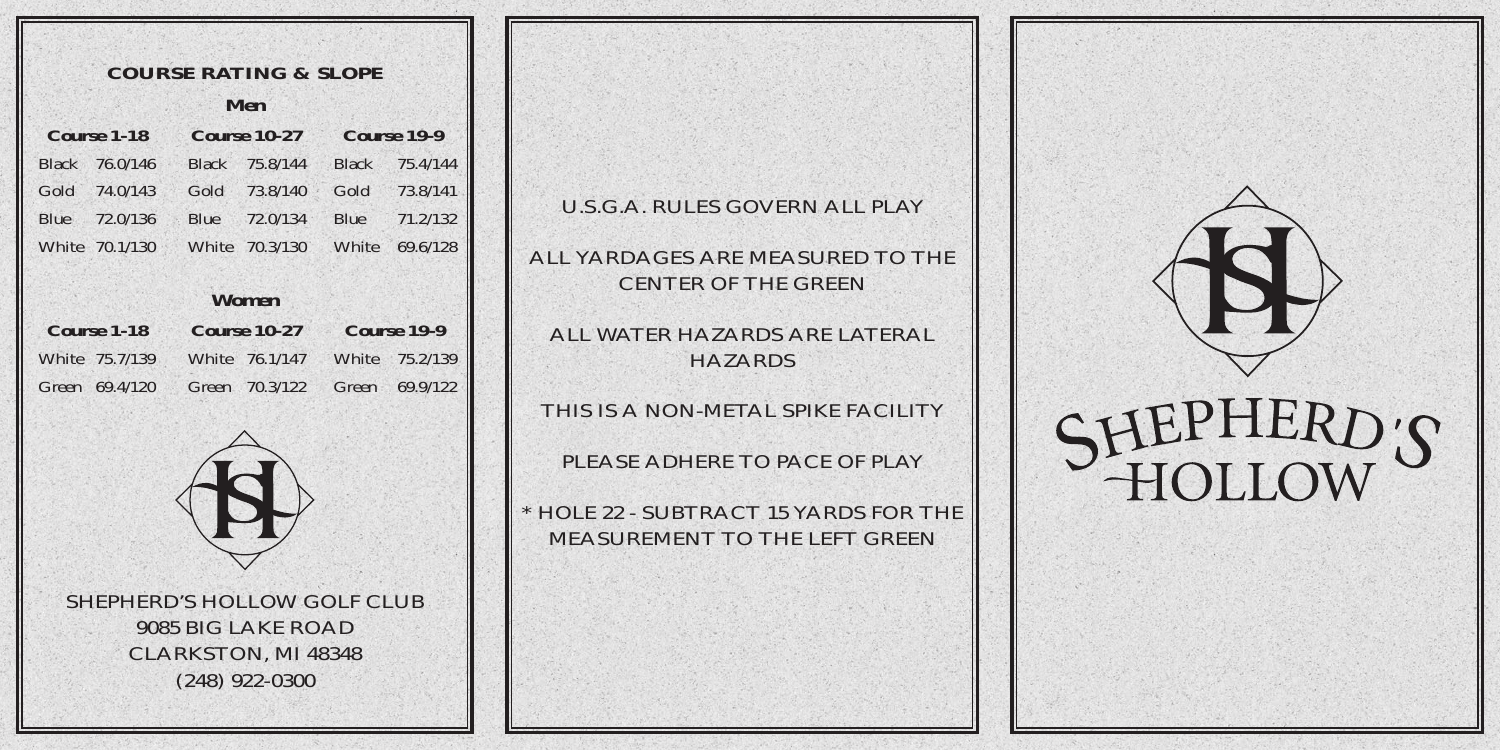| <b>COURSE RATING &amp; SLOPE</b> |                |      |                |                    |                |  |  |  |  |  |  |  |  |
|----------------------------------|----------------|------|----------------|--------------------|----------------|--|--|--|--|--|--|--|--|
| Men                              |                |      |                |                    |                |  |  |  |  |  |  |  |  |
|                                  | Course 1-18    |      | Course $10-27$ | Course 19-9        |                |  |  |  |  |  |  |  |  |
|                                  | Black 76.0/146 |      | Black 75.8/144 | <b>Black</b>       | 75.4/144       |  |  |  |  |  |  |  |  |
|                                  | Gold 74.0/143  | Gold | 73.8/140       |                    | Gold 73.8/141  |  |  |  |  |  |  |  |  |
|                                  | Blue 72.0/136  |      | Blue 72.0/134  |                    | Blue 71.2/132  |  |  |  |  |  |  |  |  |
|                                  | White 70.1/130 |      | White 70.3/130 | White              | 69.6/128       |  |  |  |  |  |  |  |  |
|                                  |                |      |                |                    |                |  |  |  |  |  |  |  |  |
| <b>Women</b>                     |                |      |                |                    |                |  |  |  |  |  |  |  |  |
|                                  | $Conarse$ 1-18 |      | Course $10-27$ | <b>Course 19-9</b> |                |  |  |  |  |  |  |  |  |
|                                  | White 75.7/139 |      | White 76.1/147 |                    | White 75.2/139 |  |  |  |  |  |  |  |  |
|                                  | Green 69.4/120 |      | Green 70.3/122 |                    | Green 69.9/122 |  |  |  |  |  |  |  |  |
|                                  |                |      |                |                    |                |  |  |  |  |  |  |  |  |



SHEPHERD'S HOLLOW GOLF CLUB9085 BIG LAKE ROADCLARKSTON, MI 48348 (248) 922-0300

U.S.G.A. RULES GOVERN ALL PLAY

ALL YARDAGES ARE MEASURED TO THECENTER OF THE GREEN

ALL WATER HAZARDS ARE LATERALHAZARDS

THIS IS A NON-METAL SPIKE FACILITY

PLEASE ADHERE TO PACE OF PLAY

\* HOLE 22 - SUBTRACT 15 YARDS FOR THEMEASUREMENT TO THE LEFT GREEN



## HEPHERD'S